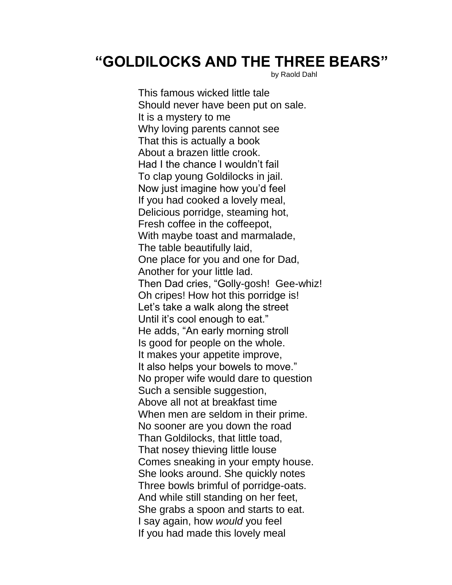## **"GOLDILOCKS AND THE THREE BEARS"**

by Raold Dahl

This famous wicked little tale Should never have been put on sale. It is a mystery to me Why loving parents cannot see That this is actually a book About a brazen little crook. Had I the chance I wouldn't fail To clap young Goldilocks in jail. Now just imagine how you'd feel If you had cooked a lovely meal, Delicious porridge, steaming hot, Fresh coffee in the coffeepot, With maybe toast and marmalade, The table beautifully laid, One place for you and one for Dad, Another for your little lad. Then Dad cries, "Golly-gosh! Gee-whiz! Oh cripes! How hot this porridge is! Let's take a walk along the street Until it's cool enough to eat." He adds, "An early morning stroll Is good for people on the whole. It makes your appetite improve, It also helps your bowels to move." No proper wife would dare to question Such a sensible suggestion, Above all not at breakfast time When men are seldom in their prime. No sooner are you down the road Than Goldilocks, that little toad, That nosey thieving little louse Comes sneaking in your empty house. She looks around. She quickly notes Three bowls brimful of porridge-oats. And while still standing on her feet, She grabs a spoon and starts to eat. I say again, how *would* you feel If you had made this lovely meal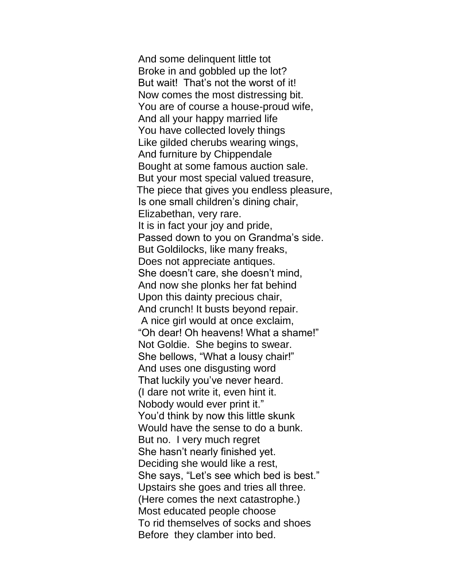And some delinquent little tot Broke in and gobbled up the lot? But wait! That's not the worst of it! Now comes the most distressing bit. You are of course a house-proud wife, And all your happy married life You have collected lovely things Like gilded cherubs wearing wings, And furniture by Chippendale Bought at some famous auction sale. But your most special valued treasure, The piece that gives you endless pleasure, Is one small children's dining chair, Elizabethan, very rare. It is in fact your joy and pride, Passed down to you on Grandma's side. But Goldilocks, like many freaks, Does not appreciate antiques. She doesn't care, she doesn't mind, And now she plonks her fat behind Upon this dainty precious chair, And crunch! It busts beyond repair. A nice girl would at once exclaim, "Oh dear! Oh heavens! What a shame!" Not Goldie. She begins to swear. She bellows, "What a lousy chair!" And uses one disgusting word That luckily you've never heard. (I dare not write it, even hint it. Nobody would ever print it." You'd think by now this little skunk Would have the sense to do a bunk. But no. I very much regret She hasn't nearly finished yet. Deciding she would like a rest, She says, "Let's see which bed is best." Upstairs she goes and tries all three. (Here comes the next catastrophe.) Most educated people choose To rid themselves of socks and shoes Before they clamber into bed.